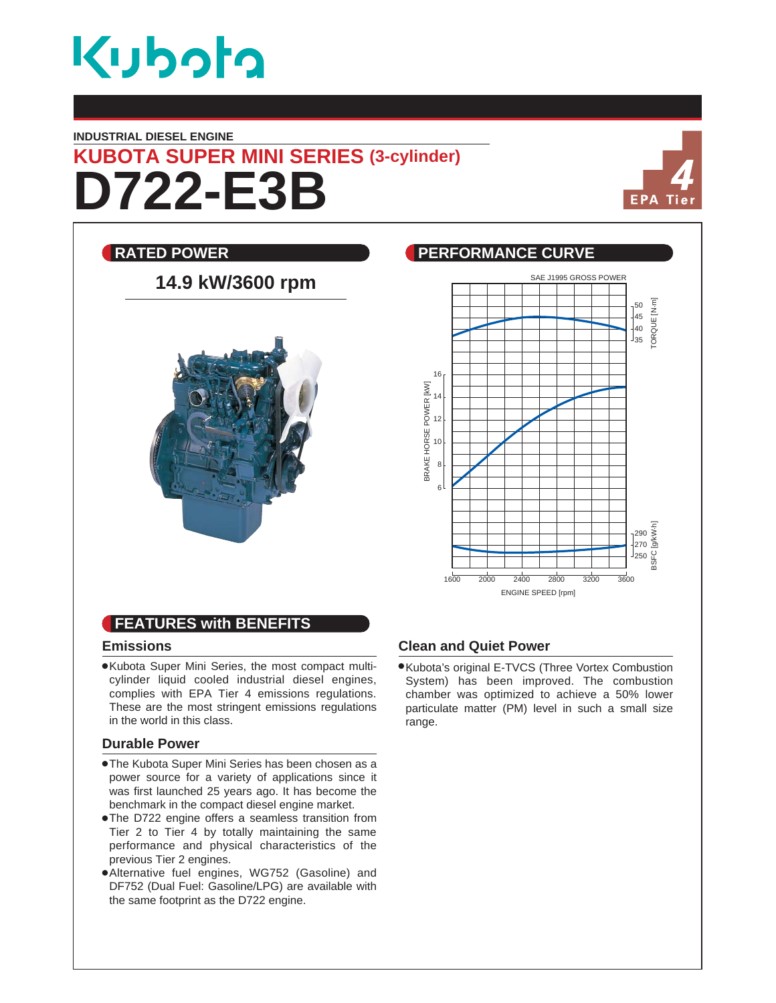

#### **INDUSTRIAL DIESEL ENGINE**

# **D722-E3B KUBOTA SUPER MINI SERIES (3-cylinder)**



### **RATED POWER PERFORMANCE CURVE** SAE J1995 GROSS POWER **14.9 kW/3600 rpm** ORQUE [N·m] TORQUE [N.m] 50  $\vert_{45}$ 40  $_{35}$ 16 BRAKE HORSE POWER [KW] BRAKE HORSE POWER [kW] 14 12 10 8  $\mathbf{g}$ BSFC [g/kW.h] 290 270 250 1600 2000 2400 2800 3200 3600 ENGINE SPEED [rpm]

## **FEATURES with BENEFITS**

#### **Emissions**

Kubota Super Mini Series, the most compact multicylinder liquid cooled industrial diesel engines, complies with EPA Tier 4 emissions regulations. These are the most stringent emissions regulations in the world in this class.

#### **Durable Power**

- The Kubota Super Mini Series has been chosen as a power source for a variety of applications since it was first launched 25 years ago. It has become the benchmark in the compact diesel engine market.
- The D722 engine offers a seamless transition from Tier 2 to Tier 4 by totally maintaining the same performance and physical characteristics of the previous Tier 2 engines.
- Alternative fuel engines, WG752 (Gasoline) and DF752 (Dual Fuel: Gasoline/LPG) are available with the same footprint as the D722 engine.

#### **Clean and Quiet Power**

Kubota's original E-TVCS (Three Vortex Combustion System) has been improved. The combustion chamber was optimized to achieve a 50% lower particulate matter (PM) level in such a small size range.